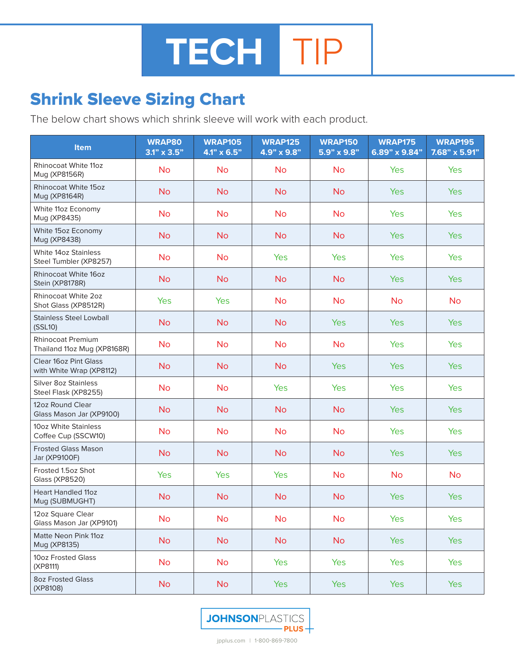## Shrink Sleeve Sizing Chart

The below chart shows which shrink sleeve will work with each product.

| Item                                                     | <b>WRAP80</b><br>$3.1" \times 3.5"$ | <b>WRAP105</b><br>$4.1" \times 6.5"$ | <b>WRAP125</b><br>4.9" x 9.8" | <b>WRAP150</b><br>5.9" x 9.8" | <b>WRAP175</b><br>6.89" x 9.84" | <b>WRAP195</b><br>7.68" x 5.91" |
|----------------------------------------------------------|-------------------------------------|--------------------------------------|-------------------------------|-------------------------------|---------------------------------|---------------------------------|
| <b>Rhinocoat White 11oz</b><br>Mug (XP8156R)             | <b>No</b>                           | <b>No</b>                            | <b>No</b>                     | <b>No</b>                     | <b>Yes</b>                      | Yes                             |
| <b>Rhinocoat White 15oz</b><br>Mug (XP8164R)             | <b>No</b>                           | <b>No</b>                            | <b>No</b>                     | <b>No</b>                     | <b>Yes</b>                      | Yes                             |
| White 11oz Economy<br>Mug (XP8435)                       | <b>No</b>                           | <b>No</b>                            | <b>No</b>                     | <b>No</b>                     | <b>Yes</b>                      | Yes                             |
| White 15oz Economy<br>Mug (XP8438)                       | <b>No</b>                           | <b>No</b>                            | <b>No</b>                     | <b>No</b>                     | <b>Yes</b>                      | <b>Yes</b>                      |
| <b>White 14oz Stainless</b><br>Steel Tumbler (XP8257)    | <b>No</b>                           | <b>No</b>                            | Yes                           | <b>Yes</b>                    | Yes                             | Yes                             |
| Rhinocoat White 16oz<br>Stein (XP8178R)                  | <b>No</b>                           | <b>No</b>                            | <b>No</b>                     | <b>No</b>                     | <b>Yes</b>                      | <b>Yes</b>                      |
| <b>Rhinocoat White 2oz</b><br>Shot Glass (XP8512R)       | Yes                                 | Yes                                  | <b>No</b>                     | <b>No</b>                     | <b>No</b>                       | <b>No</b>                       |
| <b>Stainless Steel Lowball</b><br>(SSL10)                | <b>No</b>                           | <b>No</b>                            | <b>No</b>                     | <b>Yes</b>                    | <b>Yes</b>                      | Yes                             |
| <b>Rhinocoat Premium</b><br>Thailand 11oz Mug (XP8168R)  | <b>No</b>                           | <b>No</b>                            | <b>No</b>                     | <b>No</b>                     | <b>Yes</b>                      | Yes                             |
| <b>Clear 16oz Pint Glass</b><br>with White Wrap (XP8112) | <b>No</b>                           | <b>No</b>                            | <b>No</b>                     | <b>Yes</b>                    | <b>Yes</b>                      | <b>Yes</b>                      |
| <b>Silver 8oz Stainless</b><br>Steel Flask (XP8255)      | <b>No</b>                           | <b>No</b>                            | Yes                           | Yes                           | Yes                             | Yes                             |
| 12oz Round Clear<br>Glass Mason Jar (XP9100)             | <b>No</b>                           | <b>No</b>                            | <b>No</b>                     | <b>No</b>                     | <b>Yes</b>                      | Yes                             |
| 10oz White Stainless<br>Coffee Cup (SSCW10)              | <b>No</b>                           | <b>No</b>                            | <b>No</b>                     | <b>No</b>                     | Yes                             | Yes                             |
| <b>Frosted Glass Mason</b><br>Jar (XP9100F)              | <b>No</b>                           | <b>No</b>                            | <b>No</b>                     | <b>No</b>                     | <b>Yes</b>                      | Yes                             |
| Frosted 1.5oz Shot<br><b>Glass (XP8520)</b>              | Yes                                 | Yes                                  | Yes                           | <b>No</b>                     | <b>No</b>                       | <b>No</b>                       |
| <b>Heart Handled 11oz</b><br>Mug (SUBMUGHT)              | <b>No</b>                           | <b>No</b>                            | <b>No</b>                     | <b>No</b>                     | <b>Yes</b>                      | Yes                             |
| 12oz Square Clear<br>Glass Mason Jar (XP9101)            | <b>No</b>                           | <b>No</b>                            | <b>No</b>                     | <b>No</b>                     | <b>Yes</b>                      | Yes                             |
| Matte Neon Pink 11oz<br>Mug (XP8135)                     | <b>No</b>                           | <b>No</b>                            | <b>No</b>                     | <b>No</b>                     | <b>Yes</b>                      | <b>Yes</b>                      |
| 10oz Frosted Glass<br>(XP8111)                           | <b>No</b>                           | <b>No</b>                            | Yes                           | Yes                           | Yes                             | Yes                             |
| <b>8oz Frosted Glass</b><br>(XP8108)                     | <b>No</b>                           | <b>No</b>                            | Yes                           | <b>Yes</b>                    | <b>Yes</b>                      | Yes                             |



jpplus.com | 1-800-869-7800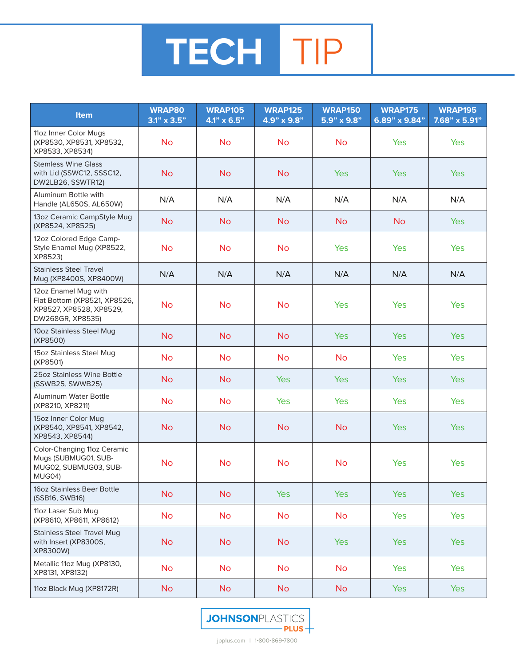

| <b>Item</b>                                                                                         | <b>WRAP80</b><br>$3.1" \times 3.5"$ | <b>WRAP105</b><br>$4.1" \times 6.5"$ | <b>WRAP125</b><br>4.9" x 9.8" | <b>WRAP150</b><br>5.9" x 9.8" | <b>WRAP175</b><br>6.89" x 9.84" | <b>WRAP195</b><br>7.68" x 5.91" |
|-----------------------------------------------------------------------------------------------------|-------------------------------------|--------------------------------------|-------------------------------|-------------------------------|---------------------------------|---------------------------------|
| 11oz Inner Color Mugs<br>(XP8530, XP8531, XP8532,<br>XP8533, XP8534)                                | <b>No</b>                           | <b>No</b>                            | <b>No</b>                     | <b>No</b>                     | <b>Yes</b>                      | <b>Yes</b>                      |
| <b>Stemless Wine Glass</b><br>with Lid (SSWC12, SSSC12,<br>DW2LB26, SSWTR12)                        | <b>No</b>                           | <b>No</b>                            | <b>No</b>                     | <b>Yes</b>                    | <b>Yes</b>                      | <b>Yes</b>                      |
| Aluminum Bottle with<br>Handle (AL650S, AL650W)                                                     | N/A                                 | N/A                                  | N/A                           | N/A                           | N/A                             | N/A                             |
| 13oz Ceramic CampStyle Mug<br>(XP8524, XP8525)                                                      | <b>No</b>                           | <b>No</b>                            | <b>No</b>                     | <b>No</b>                     | <b>No</b>                       | <b>Yes</b>                      |
| 12oz Colored Edge Camp-<br>Style Enamel Mug (XP8522,<br>XP8523)                                     | <b>No</b>                           | <b>No</b>                            | <b>No</b>                     | Yes                           | <b>Yes</b>                      | Yes                             |
| <b>Stainless Steel Travel</b><br>Mug (XP8400S, XP8400W)                                             | N/A                                 | N/A                                  | N/A                           | N/A                           | N/A                             | N/A                             |
| 12oz Enamel Mug with<br>Flat Bottom (XP8521, XP8526,<br>XP8527, XP8528, XP8529,<br>DW268GR, XP8535) | <b>No</b>                           | <b>No</b>                            | <b>No</b>                     | <b>Yes</b>                    | <b>Yes</b>                      | Yes                             |
| 10oz Stainless Steel Mug<br>(XP8500)                                                                | <b>No</b>                           | <b>No</b>                            | <b>No</b>                     | <b>Yes</b>                    | <b>Yes</b>                      | <b>Yes</b>                      |
| 15oz Stainless Steel Mug<br>(XP8501)                                                                | <b>No</b>                           | <b>No</b>                            | <b>No</b>                     | <b>No</b>                     | Yes                             | Yes                             |
| 25oz Stainless Wine Bottle<br>(SSWB25, SWWB25)                                                      | <b>No</b>                           | <b>No</b>                            | <b>Yes</b>                    | <b>Yes</b>                    | <b>Yes</b>                      | Yes                             |
| <b>Aluminum Water Bottle</b><br>(XP8210, XP8211)                                                    | <b>No</b>                           | <b>No</b>                            | Yes                           | <b>Yes</b>                    | <b>Yes</b>                      | Yes                             |
| 15oz Inner Color Mug<br>(XP8540, XP8541, XP8542,<br>XP8543, XP8544)                                 | <b>No</b>                           | <b>No</b>                            | <b>No</b>                     | <b>No</b>                     | <b>Yes</b>                      | <b>Yes</b>                      |
| Color-Changing 11oz Ceramic<br>Mugs (SUBMUG01, SUB-<br>MUG02, SUBMUG03, SUB-<br>MUG04)              | <b>No</b>                           | <b>No</b>                            | <b>No</b>                     | <b>No</b>                     | Yes                             | Yes                             |
| 16oz Stainless Beer Bottle<br>(SSB16, SWB16)                                                        | <b>No</b>                           | <b>No</b>                            | <b>Yes</b>                    | <b>Yes</b>                    | <b>Yes</b>                      | <b>Yes</b>                      |
| 11oz Laser Sub Mug<br>(XP8610, XP8611, XP8612)                                                      | <b>No</b>                           | <b>No</b>                            | <b>No</b>                     | <b>No</b>                     | Yes                             | <b>Yes</b>                      |
| <b>Stainless Steel Travel Mug</b><br>with Insert (XP8300S,<br>XP8300W)                              | <b>No</b>                           | <b>No</b>                            | <b>No</b>                     | <b>Yes</b>                    | <b>Yes</b>                      | <b>Yes</b>                      |
| Metallic 11oz Mug (XP8130,<br>XP8131, XP8132)                                                       | <b>No</b>                           | <b>No</b>                            | <b>No</b>                     | <b>No</b>                     | Yes                             | Yes                             |
| 11oz Black Mug (XP8172R)                                                                            | <b>No</b>                           | <b>No</b>                            | <b>No</b>                     | <b>No</b>                     | <b>Yes</b>                      | <b>Yes</b>                      |

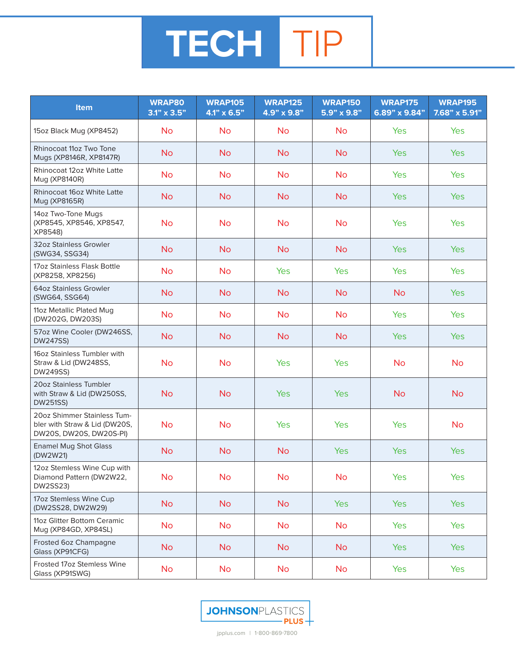## **TECH** TIP

| <b>Item</b>                                                                             | <b>WRAP80</b><br>$3.1" \times 3.5"$ | <b>WRAP105</b><br>$4.1" \times 6.5"$ | <b>WRAP125</b><br>4.9" x 9.8" | <b>WRAP150</b><br>5.9" x 9.8" | <b>WRAP175</b><br>6.89" x 9.84" | <b>WRAP195</b><br>7.68" x 5.91" |
|-----------------------------------------------------------------------------------------|-------------------------------------|--------------------------------------|-------------------------------|-------------------------------|---------------------------------|---------------------------------|
| 15oz Black Mug (XP8452)                                                                 | <b>No</b>                           | <b>No</b>                            | <b>No</b>                     | <b>No</b>                     | <b>Yes</b>                      | Yes                             |
| Rhinocoat 11oz Two Tone<br>Mugs (XP8146R, XP8147R)                                      | <b>No</b>                           | <b>No</b>                            | <b>No</b>                     | <b>No</b>                     | <b>Yes</b>                      | <b>Yes</b>                      |
| Rhinocoat 12oz White Latte<br>Mug (XP8140R)                                             | <b>No</b>                           | <b>No</b>                            | <b>No</b>                     | <b>No</b>                     | Yes                             | <b>Yes</b>                      |
| Rhinocoat 16oz White Latte<br>Mug (XP8165R)                                             | <b>No</b>                           | <b>No</b>                            | <b>No</b>                     | <b>No</b>                     | <b>Yes</b>                      | Yes                             |
| 14oz Two-Tone Mugs<br>(XP8545, XP8546, XP8547,<br>XP8548)                               | <b>No</b>                           | <b>No</b>                            | <b>No</b>                     | <b>No</b>                     | Yes                             | Yes                             |
| 32oz Stainless Growler<br>(SWG34, SSG34)                                                | <b>No</b>                           | <b>No</b>                            | <b>No</b>                     | <b>No</b>                     | <b>Yes</b>                      | Yes                             |
| 17oz Stainless Flask Bottle<br>(XP8258, XP8256)                                         | <b>No</b>                           | <b>No</b>                            | Yes                           | Yes                           | Yes                             | Yes                             |
| 64oz Stainless Growler<br>(SWG64, SSG64)                                                | <b>No</b>                           | <b>No</b>                            | <b>No</b>                     | <b>No</b>                     | <b>No</b>                       | <b>Yes</b>                      |
| 11oz Metallic Plated Mug<br>(DW202G, DW203S)                                            | <b>No</b>                           | <b>No</b>                            | <b>No</b>                     | <b>No</b>                     | <b>Yes</b>                      | Yes                             |
| 57oz Wine Cooler (DW246SS,<br><b>DW247SS)</b>                                           | <b>No</b>                           | <b>No</b>                            | <b>No</b>                     | <b>No</b>                     | <b>Yes</b>                      | <b>Yes</b>                      |
| 16oz Stainless Tumbler with<br>Straw & Lid (DW248SS,<br>DW249SS)                        | <b>No</b>                           | <b>No</b>                            | Yes                           | <b>Yes</b>                    | <b>No</b>                       | <b>No</b>                       |
| 20oz Stainless Tumbler<br>with Straw & Lid (DW250SS,<br><b>DW251SS)</b>                 | <b>No</b>                           | <b>No</b>                            | <b>Yes</b>                    | <b>Yes</b>                    | <b>No</b>                       | <b>No</b>                       |
| 20oz Shimmer Stainless Tum-<br>bler with Straw & Lid (DW20S,<br>DW20S, DW20S, DW20S-PI) | <b>No</b>                           | <b>No</b>                            | Yes                           | <b>Yes</b>                    | Yes                             | <b>No</b>                       |
| <b>Enamel Mug Shot Glass</b><br>(DW2W21)                                                | <b>No</b>                           | <b>No</b>                            | <b>No</b>                     | <b>Yes</b>                    | <b>Yes</b>                      | Yes                             |
| 12oz Stemless Wine Cup with<br>Diamond Pattern (DW2W22,<br><b>DW2SS23)</b>              | <b>No</b>                           | <b>No</b>                            | <b>No</b>                     | <b>No</b>                     | Yes                             | Yes                             |
| 17oz Stemless Wine Cup<br>(DW2SS28, DW2W29)                                             | <b>No</b>                           | <b>No</b>                            | <b>No</b>                     | <b>Yes</b>                    | <b>Yes</b>                      | Yes                             |
| 11oz Glitter Bottom Ceramic<br>Mug (XP84GD, XP84SL)                                     | <b>No</b>                           | <b>No</b>                            | <b>No</b>                     | <b>No</b>                     | Yes                             | Yes                             |
| Frosted 6oz Champagne<br>Glass (XP91CFG)                                                | <b>No</b>                           | <b>No</b>                            | <b>No</b>                     | <b>No</b>                     | <b>Yes</b>                      | <b>Yes</b>                      |
| Frosted 17oz Stemless Wine<br>Glass (XP91SWG)                                           | <b>No</b>                           | <b>No</b>                            | <b>No</b>                     | <b>No</b>                     | Yes                             | Yes                             |